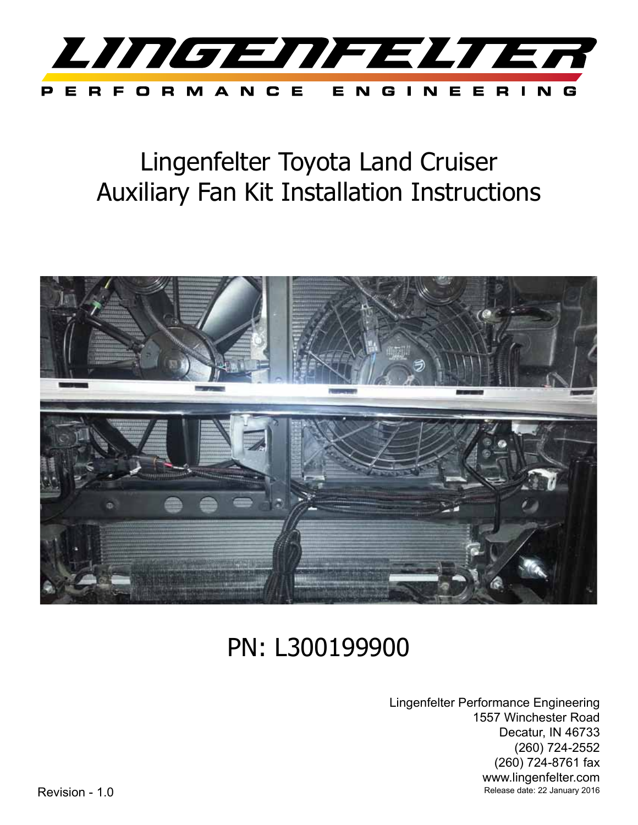

# Lingenfelter Toyota Land Cruiser Auxiliary Fan Kit Installation Instructions



# PN: L300199900

Lingenfelter Performance Engineering 1557 Winchester Road Decatur, IN 46733 (260) 724-2552 (260) 724-8761 fax www.lingenfelter.com Revision - 1.0 Release date: 22 January 2016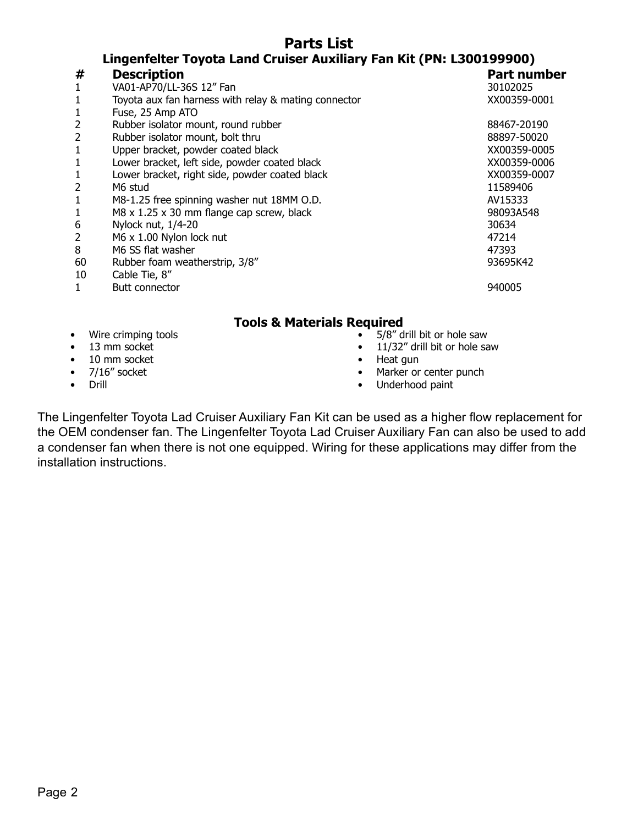# **Parts List**

## **Lingenfelter Toyota Land Cruiser Auxiliary Fan Kit (PN: L300199900)**

| #  | <b>Description</b>                                   | <b>Part number</b> |
|----|------------------------------------------------------|--------------------|
|    | VA01-AP70/LL-36S 12" Fan                             | 30102025           |
|    | Toyota aux fan harness with relay & mating connector | XX00359-0001       |
|    | Fuse, 25 Amp ATO                                     |                    |
|    | Rubber isolator mount, round rubber                  | 88467-20190        |
|    | Rubber isolator mount, bolt thru                     | 88897-50020        |
|    | Upper bracket, powder coated black                   | XX00359-0005       |
|    | Lower bracket, left side, powder coated black        | XX00359-0006       |
|    | Lower bracket, right side, powder coated black       | XX00359-0007       |
|    | M6 stud                                              | 11589406           |
|    | M8-1.25 free spinning washer nut 18MM O.D.           | AV15333            |
|    | M8 x 1.25 x 30 mm flange cap screw, black            | 98093A548          |
| 6  | Nylock nut, 1/4-20                                   | 30634              |
|    | M6 x 1.00 Nylon lock nut                             | 47214              |
| 8  | M6 SS flat washer                                    | 47393              |
| 60 | Rubber foam weatherstrip, 3/8"                       | 93695K42           |
| 10 | Cable Tie, 8"                                        |                    |
|    | Butt connector                                       | 940005             |
|    |                                                      |                    |

### **Tools & Materials Required**

- • Wire crimping tools
- 13 mm socket
- 10 mm socket
- $\bullet$  7/16" socket
- • Drill
- • 5/8" drill bit or hole saw
- • 11/32" drill bit or hole saw
- Heat gun
- Marker or center punch
- Underhood paint

The Lingenfelter Toyota Lad Cruiser Auxiliary Fan Kit can be used as a higher flow replacement for the OEM condenser fan. The Lingenfelter Toyota Lad Cruiser Auxiliary Fan can also be used to add a condenser fan when there is not one equipped. Wiring for these applications may differ from the installation instructions.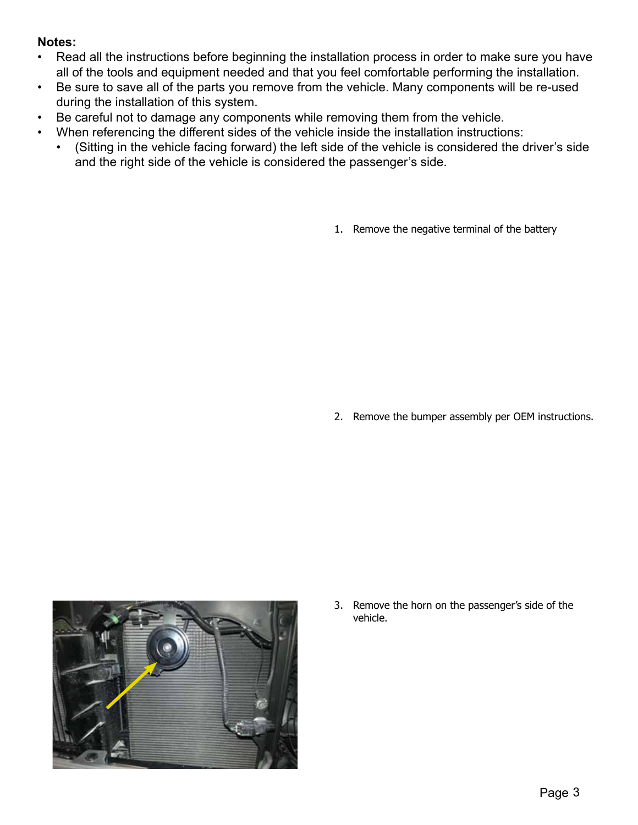### **Notes:**

- Read all the instructions before beginning the installation process in order to make sure you have all of the tools and equipment needed and that you feel comfortable performing the installation.
- Be sure to save all of the parts you remove from the vehicle. Many components will be re-used during the installation of this system.
- Be careful not to damage any components while removing them from the vehicle.
- When referencing the different sides of the vehicle inside the installation instructions:
	- (Sitting in the vehicle facing forward) the left side of the vehicle is considered the driver's side and the right side of the vehicle is considered the passenger's side.
		- 1. Remove the negative terminal of the battery

2. Remove the bumper assembly per OEM instructions.



3. Remove the horn on the passenger's side of the vehicle.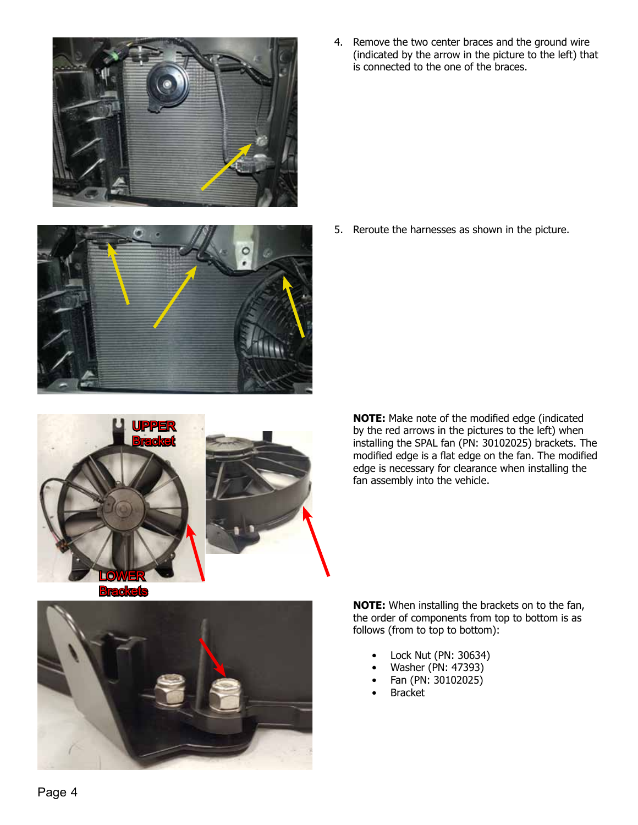

4. Remove the two center braces and the ground wire (indicated by the arrow in the picture to the left) that is connected to the one of the braces.

5. Reroute the harnesses as shown in the picture.





**NOTE:** Make note of the modified edge (indicated by the red arrows in the pictures to the left) when installing the SPAL fan (PN: 30102025) brackets. The modified edge is a flat edge on the fan. The modified edge is necessary for clearance when installing the fan assembly into the vehicle.



**NOTE:** When installing the brackets on to the fan, the order of components from top to bottom is as follows (from to top to bottom):

- Lock Nut (PN: 30634)
- Washer (PN: 47393)
- Fan (PN: 30102025)
- **Bracket**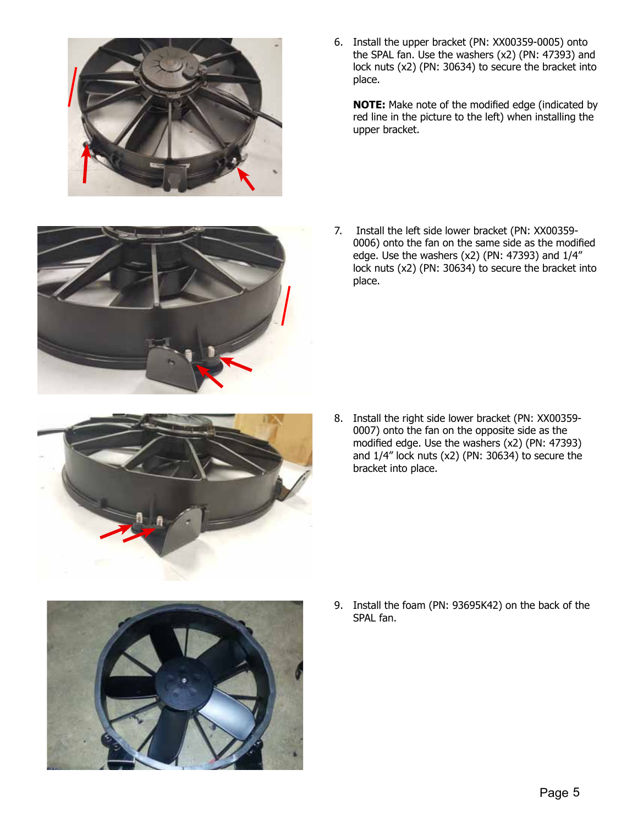

6. Install the upper bracket (PN: XX00359-0005) onto the SPAL fan. Use the washers (x2) (PN: 47393) and lock nuts (x2) (PN: 30634) to secure the bracket into place.

**NOTE:** Make note of the modified edge (indicated by red line in the picture to the left) when installing the upper bracket.

7. Install the left side lower bracket (PN: XX00359- 0006) onto the fan on the same side as the modified edge. Use the washers (x2) (PN: 47393) and 1/4" lock nuts (x2) (PN: 30634) to secure the bracket into place.



8. Install the right side lower bracket (PN: XX00359- 0007) onto the fan on the opposite side as the modified edge. Use the washers (x2) (PN: 47393) and 1/4" lock nuts (x2) (PN: 30634) to secure the bracket into place.



9. Install the foam (PN: 93695K42) on the back of the SPAL fan.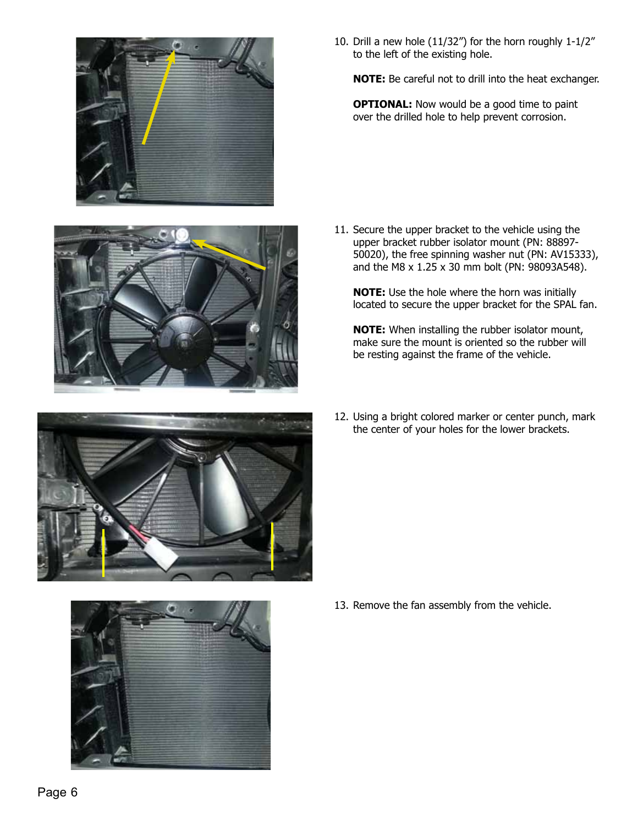

10. Drill a new hole (11/32") for the horn roughly 1-1/2" to the left of the existing hole.

**NOTE:** Be careful not to drill into the heat exchanger.

**OPTIONAL:** Now would be a good time to paint over the drilled hole to help prevent corrosion.

11. Secure the upper bracket to the vehicle using the upper bracket rubber isolator mount (PN: 88897- 50020), the free spinning washer nut (PN: AV15333), and the M8 x 1.25 x 30 mm bolt (PN: 98093A548).

> **NOTE:** Use the hole where the horn was initially located to secure the upper bracket for the SPAL fan.

**NOTE:** When installing the rubber isolator mount, make sure the mount is oriented so the rubber will be resting against the frame of the vehicle.

12. Using a bright colored marker or center punch, mark the center of your holes for the lower brackets.



13. Remove the fan assembly from the vehicle.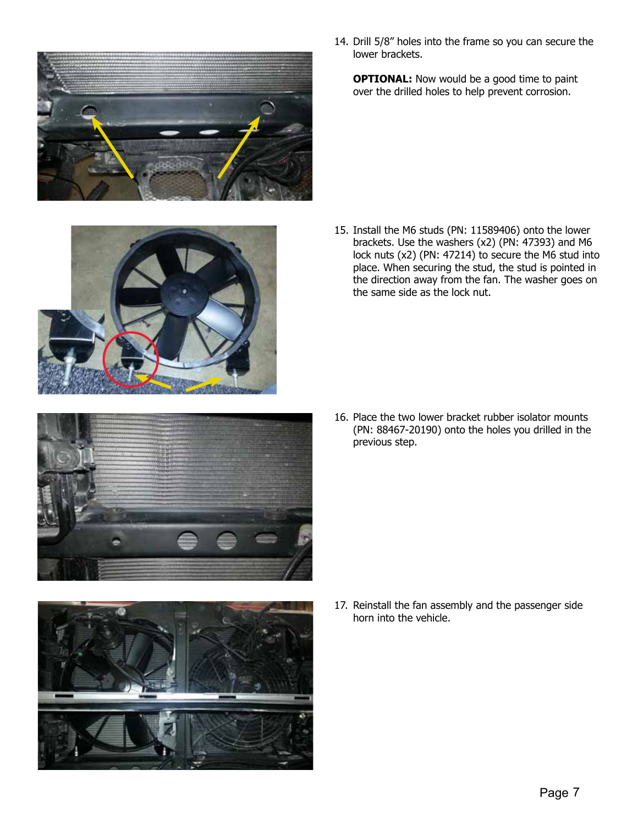

14. Drill 5/8" holes into the frame so you can secure the lower brackets.

**OPTIONAL:** Now would be a good time to paint over the drilled holes to help prevent corrosion.

15. Install the M6 studs (PN: 11589406) onto the lower brackets. Use the washers (x2) (PN: 47393) and M6 lock nuts (x2) (PN: 47214) to secure the M6 stud into place. When securing the stud, the stud is pointed in the direction away from the fan. The washer goes on the same side as the lock nut.

- 
- 16. Place the two lower bracket rubber isolator mounts (PN: 88467-20190) onto the holes you drilled in the previous step.



17. Reinstall the fan assembly and the passenger side horn into the vehicle.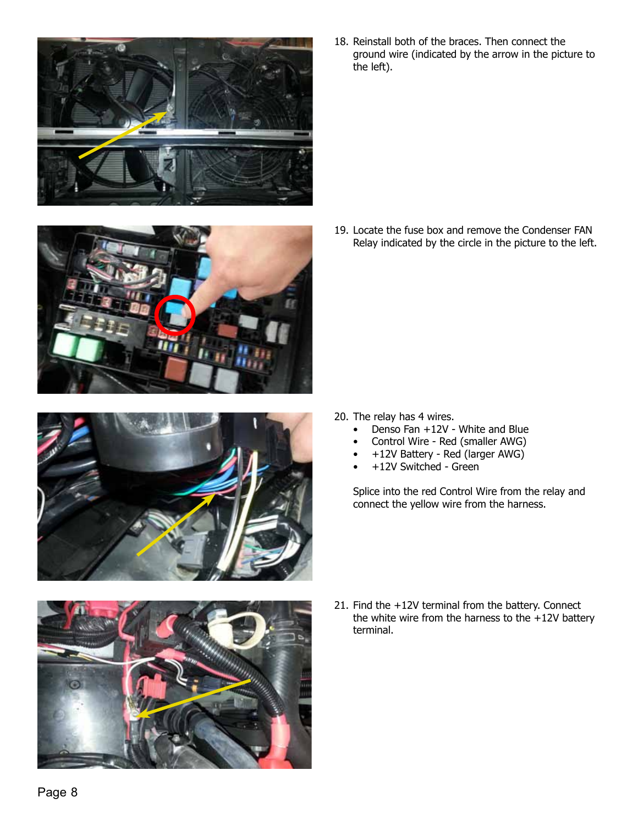





- 20. The relay has 4 wires.
	- Denso Fan +12V White and Blue
	- Control Wire Red (smaller AWG)
	- +12V Battery Red (larger AWG)
	- +12V Switched Green

Splice into the red Control Wire from the relay and connect the yellow wire from the harness.



21. Find the +12V terminal from the battery. Connect the white wire from the harness to the +12V battery terminal.





19. Locate the fuse box and remove the Condenser FAN Relay indicated by the circle in the picture to the left.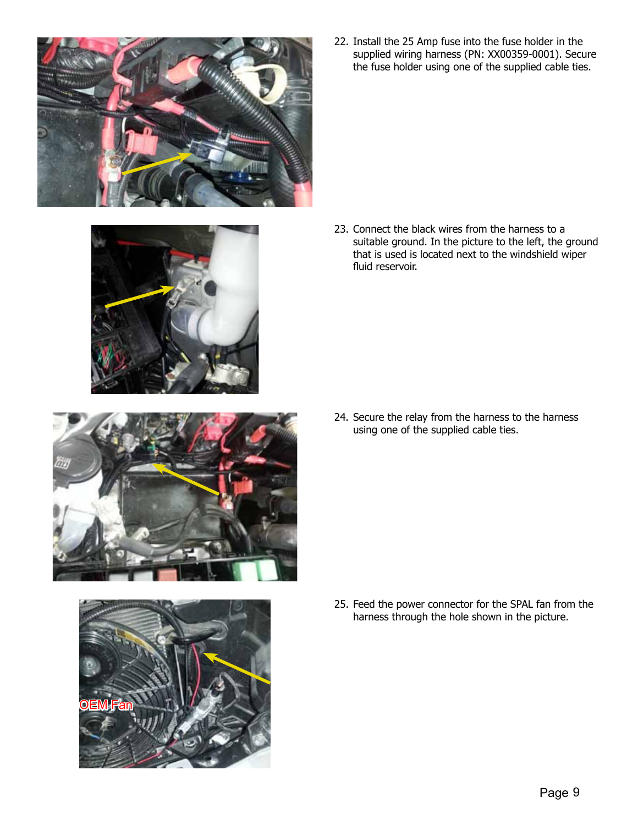

22. Install the 25 Amp fuse into the fuse holder in the supplied wiring harness (PN: XX00359-0001). Secure the fuse holder using one of the supplied cable ties.



24. Secure the relay from the harness to the harness using one of the supplied cable ties.

23. Connect the black wires from the harness to a

fluid reservoir.

suitable ground. In the picture to the left, the ground that is used is located next to the windshield wiper



25. Feed the power connector for the SPAL fan from the harness through the hole shown in the picture.

Page 9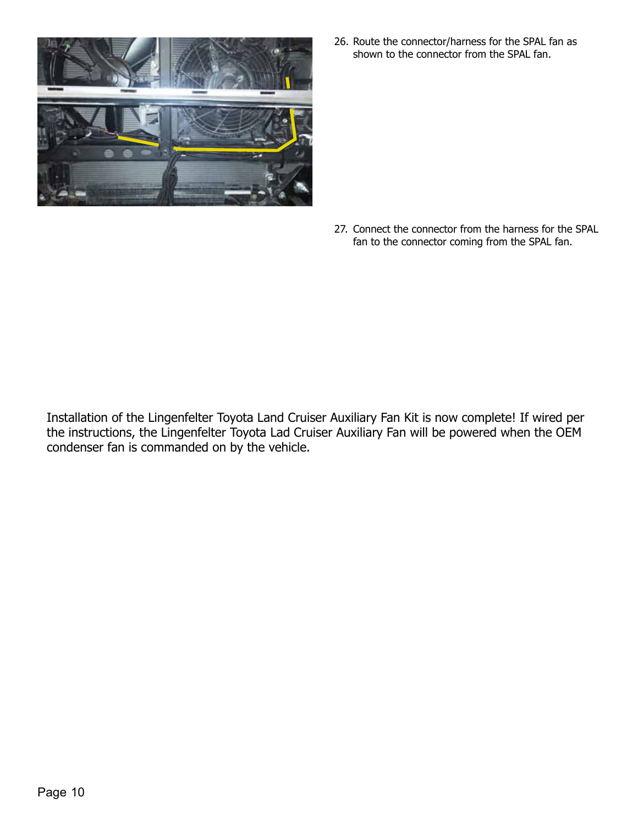

26. Route the connector/harness for the SPAL fan as shown to the connector from the SPAL fan.

27. Connect the connector from the harness for the SPAL fan to the connector coming from the SPAL fan.

Installation of the Lingenfelter Toyota Land Cruiser Auxiliary Fan Kit is now complete! If wired per the instructions, the Lingenfelter Toyota Lad Cruiser Auxiliary Fan will be powered when the OEM condenser fan is commanded on by the vehicle.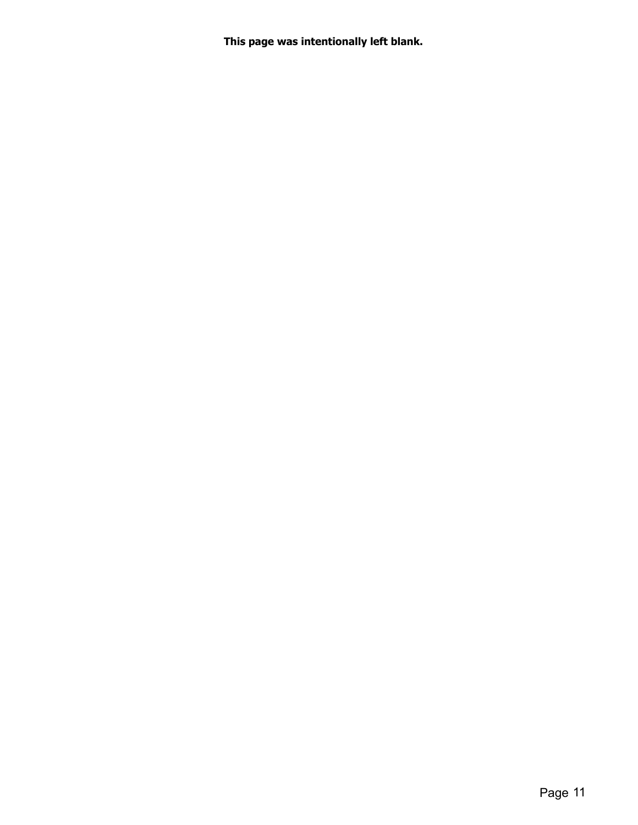**This page was intentionally left blank.**